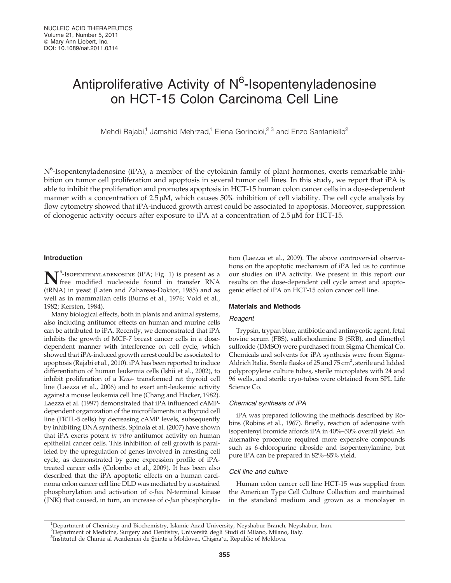# Antiproliferative Activity of N<sup>6</sup>-Isopentenyladenosine on HCT-15 Colon Carcinoma Cell Line

Mehdi Rajabi,<sup>1</sup> Jamshid Mehrzad,<sup>1</sup> Elena Gorincioi,<sup>2,3</sup> and Enzo Santaniello<sup>2</sup>

N<sup>6</sup>-Isopentenyladenosine (iPA), a member of the cytokinin family of plant hormones, exerts remarkable inhibition on tumor cell proliferation and apoptosis in several tumor cell lines. In this study, we report that iPA is able to inhibit the proliferation and promotes apoptosis in HCT-15 human colon cancer cells in a dose-dependent manner with a concentration of  $2.5 \mu M$ , which causes 50% inhibition of cell viability. The cell cycle analysis by flow cytometry showed that iPA-induced growth arrest could be associated to apoptosis. Moreover, suppression of clonogenic activity occurs after exposure to iPA at a concentration of  $2.5 \mu M$  for HCT-15.

# Introduction

**N**<sup>6</sup>-Isopentenyladenosine (iPA; Fig. 1) is present as a free modified nucleoside found in transfer RNA free modified nucleoside found in transfer RNA (tRNA) in yeast (Laten and Zahareas-Doktor, 1985) and as well as in mammalian cells (Burns et al., 1976; Vold et al., 1982; Kersten, 1984).

Many biological effects, both in plants and animal systems, also including antitumor effects on human and murine cells can be attributed to iPA. Recently, we demonstrated that iPA inhibits the growth of MCF-7 breast cancer cells in a dosedependent manner with interference on cell cycle, which showed that iPA-induced growth arrest could be associated to apoptosis (Rajabi et al., 2010). iPA has been reported to induce differentiation of human leukemia cells (Ishii et al., 2002), to inhibit proliferation of a Kras- transformed rat thyroid cell line (Laezza et al., 2006) and to exert anti-leukemic activity against a mouse leukemia cell line (Chang and Hacker, 1982). Laezza et al. (1997) demonstrated that iPA influenced cAMPdependent organization of the microfilaments in a thyroid cell line (FRTL-5 cells) by decreasing cAMP levels, subsequently by inhibiting DNA synthesis. Spinola et al. (2007) have shown that iPA exerts potent in vitro antitumor activity on human epithelial cancer cells. This inhibition of cell growth is paralleled by the upregulation of genes involved in arresting cell cycle, as demonstrated by gene expression profile of iPAtreated cancer cells (Colombo et al., 2009). It has been also described that the iPA apoptotic effects on a human carcinoma colon cancer cell line DLD was mediated by a sustained phosphorylation and activation of c-Jun N-terminal kinase (JNK) that caused, in turn, an increase of c-Jun phosphoryla-

tion (Laezza et al., 2009). The above controversial observations on the apoptotic mechanism of iPA led us to continue our studies on iPA activity. We present in this report our results on the dose-dependent cell cycle arrest and apoptogenic effect of iPA on HCT-15 colon cancer cell line.

#### Materials and Methods

#### **Reagent**

Trypsin, trypan blue, antibiotic and antimycotic agent, fetal bovine serum (FBS), sulforhodamine B (SRB), and dimethyl sulfoxide (DMSO) were purchased from Sigma Chemical Co. Chemicals and solvents for iPA synthesis were from Sigma-Aldrich Italia. Sterile flasks of 25 and 75 cm<sup>2</sup>, sterile and lidded polypropylene culture tubes, sterile microplates with 24 and 96 wells, and sterile cryo-tubes were obtained from SPL Life Science Co.

#### Chemical synthesis of iPA

iPA was prepared following the methods described by Robins (Robins et al., 1967). Briefly, reaction of adenosine with isopentenyl bromide affords iPA in 40%–50% overall yield. An alternative procedure required more expensive compounds such as 6-chloropurine riboside and isopentenylamine, but pure iPA can be prepared in 82%–85% yield.

# Cell line and culture

Human colon cancer cell line HCT-15 was supplied from the American Type Cell Culture Collection and maintained in the standard medium and grown as a monolayer in

<sup>1</sup> Department of Chemistry and Biochemistry, Islamic Azad University, Neyshabur Branch, Neyshabur, Iran.

<sup>&</sup>lt;sup>2</sup>Department of Medicine, Surgery and Dentistry, Università degli Studi di Milano, Milano, Italy.<br><sup>3</sup>Institutul de Chimie al Academiei de Stiinte a Moldovei, Chisina u Republic of Moldova

<sup>&</sup>lt;sup>3</sup>Institutul de Chimie al Academiei de Stiinte a Moldovei, Chisina<sup>v</sup>u, Republic of Moldova.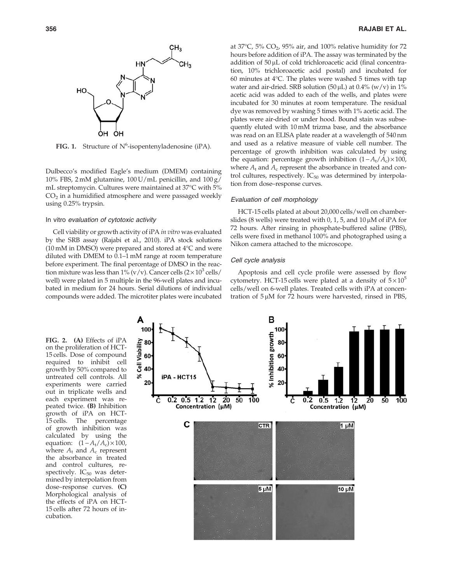

FIG. 1. Structure of  $N^6$ -isopentenyladenosine (iPA).

Dulbecco's modified Eagle's medium (DMEM) containing 10% FBS, 2 mM glutamine, 100 U/mL penicillin, and  $100 g$ / mL streptomycin. Cultures were maintained at 37°C with 5%  $CO<sub>2</sub>$  in a humidified atmosphere and were passaged weekly using 0.25% trypsin.

#### In vitro evaluation of cytotoxic activity

Cell viability or growth activity of iPA in vitro was evaluated by the SRB assay (Rajabi et al., 2010). iPA stock solutions  $(10 \text{ mM in DMSO})$  were prepared and stored at  $4^{\circ}$ C and were diluted with DMEM to 0.1–1 mM range at room temperature before experiment. The final percentage of DMSO in the reaction mixture was less than 1% (v/v). Cancer cells  $(2 \times 10^3 \text{ cells})$ well) were plated in 5 multiple in the 96-well plates and incubated in medium for 24 hours. Serial dilutions of individual compounds were added. The microtiter plates were incubated

at 37°C, 5% CO<sub>2</sub>, 95% air, and 100% relative humidity for 72 hours before addition of iPA. The assay was terminated by the addition of  $50 \mu$ L of cold trichloroacetic acid (final concentration, 10% trichloroacetic acid postal) and incubated for 60 minutes at  $4^{\circ}$ C. The plates were washed 5 times with tap water and air-dried. SRB solution (50  $\mu$ L) at 0.4% (w/v) in 1% acetic acid was added to each of the wells, and plates were incubated for 30 minutes at room temperature. The residual dye was removed by washing 5 times with 1% acetic acid. The plates were air-dried or under hood. Bound stain was subsequently eluted with 10mM trizma base, and the absorbance was read on an ELISA plate reader at a wavelength of 540 nm and used as a relative measure of viable cell number. The percentage of growth inhibition was calculated by using the equation: percentage growth inhibition  $(1 - A_t/A_c) \times 100$ , where  $A_t$  and  $A_c$  represent the absorbance in treated and control cultures, respectively.  $IC_{50}$  was determined by interpolation from dose–response curves.

#### Evaluation of cell morphology

HCT-15 cells plated at about 20,000 cells/well on chamberslides (8 wells) were treated with 0, 1, 5, and 10  $\mu$ M of iPA for 72 hours. After rinsing in phosphate-buffered saline (PBS), cells were fixed in methanol 100% and photographed using a Nikon camera attached to the microscope.

#### Cell cycle analysis

Apoptosis and cell cycle profile were assessed by flow cytometry. HCT-15 cells were plated at a density of  $5 \times 10^5$ cells/well on 6-well plates. Treated cells with iPA at concentration of  $5 \mu M$  for 72 hours were harvested, rinsed in PBS,

FIG. 2. (A) Effects of iPA on the proliferation of HCT-15 cells. Dose of compound required to inhibit cell growth by 50% compared to untreated cell controls. All experiments were carried out in triplicate wells and each experiment was repeated twice. (B) Inhibition growth of iPA on HCT-15 cells. The percentage of growth inhibition was calculated by using the equation:  $(1 - A_t/A_c) \times 100$ , where  $A_t$  and  $A_c$  represent the absorbance in treated and control cultures, respectively.  $IC_{50}$  was determined by interpolation from dose–response curves. (C) Morphological analysis of the effects of iPA on HCT-15 cells after 72 hours of incubation.

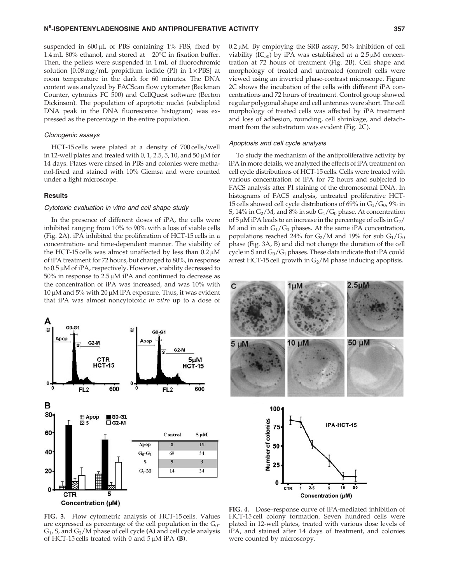suspended in  $600 \mu L$  of PBS containing  $1\%$  FBS, fixed by 1.4 mL 80% ethanol, and stored at  $-20^{\circ}$ C in fixation buffer. Then, the pellets were suspended in 1 mL of fluorochromic solution  $[0.08 \text{ mg/mL}$  propidium iodide (PI) in  $1 \times$ PBS] at room temperature in the dark for 60 minutes. The DNA content was analyzed by FACScan flow cytometer (Beckman Counter, cytomics FC 500) and CellQuest software (Becton Dickinson). The population of apoptotic nuclei (subdiploid DNA peak in the DNA fluorescence histogram) was expressed as the percentage in the entire population.

### Clonogenic assays

HCT-15 cells were plated at a density of 700 cells/well in 12-well plates and treated with 0, 1, 2.5, 5, 10, and 50  $\mu$ M for 14 days. Plates were rinsed in PBS and colonies were methanol-fixed and stained with 10% Giemsa and were counted under a light microscope.

#### **Results**

# Cytotoxic evaluation in vitro and cell shape study

In the presence of different doses of iPA, the cells were inhibited ranging from 10% to 90% with a loss of viable cells (Fig. 2A). iPA inhibited the proliferation of HCT-15 cells in a concentration- and time-dependent manner. The viability of the HCT-15 cells was almost unaffected by less than  $0.2 \mu M$ of iPA treatment for 72 hours, but changed to 80%, in response to  $0.5 \mu$ M of iPA, respectively. However, viability decreased to  $50\%$  in response to  $2.5 \mu M$  iPA and continued to decrease as the concentration of iPA was increased, and was 10% with  $10 \mu$ M and 5% with  $20 \mu$ M iPA exposure. Thus, it was evident that iPA was almost noncytotoxic in vitro up to a dose of



 $0.2 \mu$ M. By employing the SRB assay, 50% inhibition of cell viability (IC<sub>50</sub>) by iPA was established at a  $2.5 \mu M$  concentration at 72 hours of treatment (Fig. 2B). Cell shape and morphology of treated and untreated (control) cells were viewed using an inverted phase-contrast microscope. Figure 2C shows the incubation of the cells with different iPA concentrations and 72 hours of treatment. Control group showed regular polygonal shape and cell antennas were short. The cell morphology of treated cells was affected by iPA treatment and loss of adhesion, rounding, cell shrinkage, and detachment from the substratum was evident (Fig. 2C).

#### Apoptosis and cell cycle analysis

To study the mechanism of the antiproliferative activity by iPA in more details, we analyzed the effects of iPA treatment on cell cycle distributions of HCT-15 cells. Cells were treated with various concentration of iPA for 72 hours and subjected to FACS analysis after PI staining of the chromosomal DNA. In histograms of FACS analysis, untreated proliferative HCT-15 cells showed cell cycle distributions of 69% in  $G_1/G_0$ , 9% in S, 14% in  $G_2/M$ , and 8% in sub  $G_1/G_0$  phase. At concentration of 5  $\mu$ M iPA leads to an increase in the percentage of cells in  $G_2/$ M and in sub  $G_1/G_0$  phases. At the same iPA concentration, populations reached 24% for  $G_2/M$  and 19% for sub  $G_1/G_0$ phase (Fig. 3A, B) and did not change the duration of the cell cycle in S and  $G_0/G_1$  phases. These data indicate that iPA could arrest HCT-15 cell growth in  $G_2/M$  phase inducing apoptisis.





FIG. 3. Flow cytometric analysis of HCT-15 cells. Values are expressed as percentage of the cell population in the  $G_0$ - $G_1$ , S, and  $G_2/M$  phase of cell cycle (A) and cell cycle analysis of HCT-15 cells treated with 0 and  $5 \mu$ M iPA (B).

FIG. 4. Dose–response curve of iPA-mediated inhibition of HCT-15 cell colony formation. Seven hundred cells were plated in 12-well plates, treated with various dose levels of iPA, and stained after 14 days of treatment, and colonies were counted by microscopy.